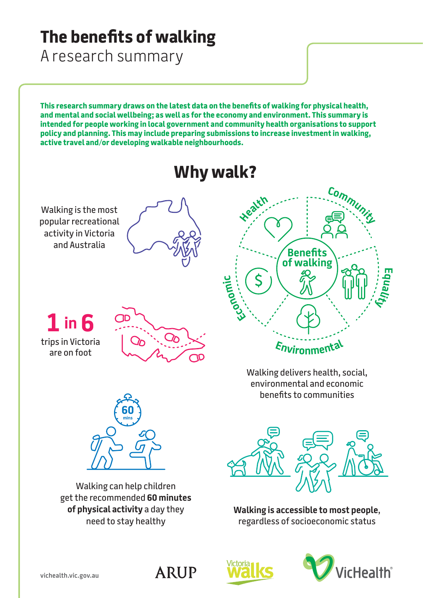# **The benefits of walking**

A research summary

**This research summary draws on the latest data on the benefits of walking for physical health, and mental and social wellbeing; as well as for the economy and environment. This summary is intended for people working in local government and community health organisations to support policy and planning. This may include preparing submissions to increase investment in walking, active travel and/or developing walkable neighbourhoods.**





**ARUP** 

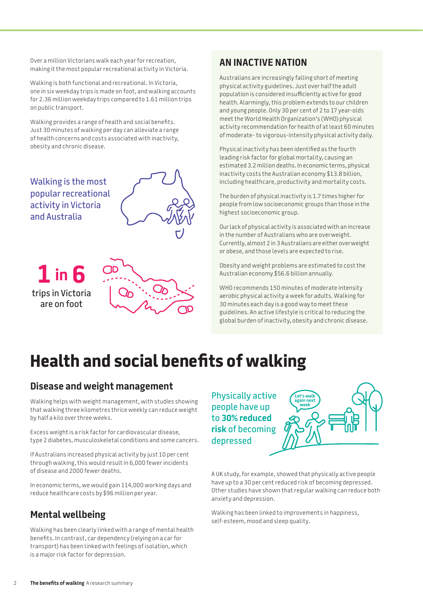Over a million Victorians walk each year for recreation, making it the most popular recreational activity in Victoria.

Walking is both functional and recreational. In Victoria, one in six weekday trips is made on foot, and walking accounts for 2.36 million weekday trips compared to 1.61 million trips on public transport.

Walking provides a range of health and social benefits. Just 30 minutes of walking per day can alleviate a range of health concerns and costs associated with inactivity, obesity and chronic disease.

Walking is the most popular recreational activity in Victoria and Australia



**1 in 6**  trips in Victoria are on foot



#### **AN INACTIVE NATION**

Australians are increasingly falling short of meeting physical activity guidelines. Just over half the adult population is considered insufficiently active for good health. Alarmingly, this problem extends to our children and young people. Only 30 per cent of 2 to 17 year-olds meet the World Health Organization's (WHO) physical activity recommendation for health of at least 60 minutes of moderate- to vigorous-intensity physical activity daily.

Physical inactivity has been identified as the fourth leading risk factor for global mortality, causing an estimated 3.2 million deaths. In economic terms, physical inactivity costs the Australian economy \$13.8 billion, including healthcare, productivity and mortality costs.

The burden of physical inactivity is 1.7 times higher for people from low socioeconomic groups than those in the highest socioeconomic group.

Our lack of physical activity is associated with an increase in the number of Australians who are overweight. Currently, almost 2 in 3 Australians are either overweight or obese, and those levels are expected to rise.

Obesity and weight problems are estimated to cost the Australian economy \$56.6 billion annually.

WHO recommends 150 minutes of moderate intensity aerobic physical activity a week for adults. Walking for 30 minutes each day is a good way to meet these guidelines. An active lifestyle is critical to reducing the global burden of inactivity, obesity and chronic disease.

# **Health and social benefits of walking**

#### **Disease and weight management**

Walking helps with weight management, with studies showing that walking three kilometres thrice weekly can reduce weight by half a kilo over three weeks.

Excess weight is a risk factor for cardiovascular disease, type 2 diabetes, musculoskeletal conditions and some cancers.

If Australians increased physical activity by just 10 per cent through walking, this would result in 6,000 fewer incidents of disease and 2000 fewer deaths.

In economic terms, we would gain 114,000 working days and reduce healthcare costs by \$96 million per year.

#### **Mental wellbeing**

Walking has been clearly linked with a range of mental health benefits. In contrast, car dependency (relying on a car for transport) has been linked with feelings of isolation, which is a major risk factor for depression.

Physically active people have up to **30% reduced risk** of becoming depressed



A UK study, for example, showed that physically active people have up to a 30 per cent reduced risk of becoming depressed. Other studies have shown that regular walking can reduce both anxiety and depression.

Walking has been linked to improvements in happiness, self-esteem, mood and sleep quality.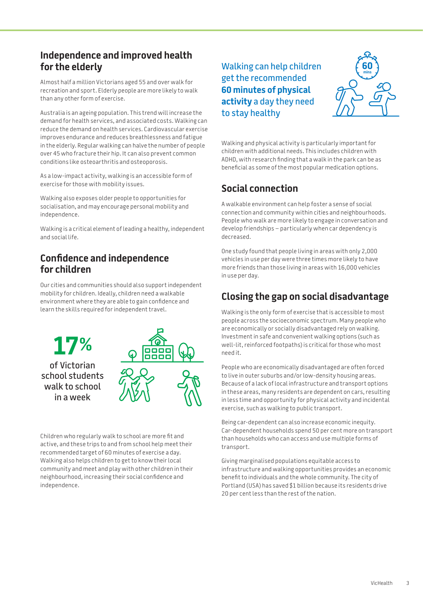#### **Independence and improved health for the elderly**

Almost half a million Victorians aged 55 and over walk for recreation and sport. Elderly people are more likely to walk than any other form of exercise.

Australia is an ageing population. This trend will increase the demand for health services, and associated costs. Walking can reduce the demand on health services. Cardiovascular exercise improves endurance and reduces breathlessness and fatigue in the elderly. Regular walking can halve the number of people over 45 who fracture their hip. It can also prevent common conditions like osteoarthritis and osteoporosis.

As a low-impact activity, walking is an accessible form of exercise for those with mobility issues.

Walking also exposes older people to opportunities for socialisation, and may encourage personal mobility and independence.

Walking is a critical element of leading a healthy, independent and social life.

#### **Confidence and independence for children**

Our cities and communities should also support independent mobility for children. Ideally, children need a walkable environment where they are able to gain confidence and learn the skills required for independent travel.



Children who regularly walk to school are more fit and active, and these trips to and from school help meet their recommended target of 60 minutes of exercise a day. Walking also helps children to get to know their local community and meet and play with other children in their neighbourhood, increasing their social confidence and independence.

Walking can help children get the recommended **60 minutes of physical activity** a day they need to stay healthy



Walking and physical activity is particularly important for children with additional needs. This includes children with ADHD, with research finding that a walk in the park can be as beneficial as some of the most popular medication options.

## **Social connection**

A walkable environment can help foster a sense of social connection and community within cities and neighbourhoods. People who walk are more likely to engage in conversation and develop friendships – particularly when car dependency is decreased.

One study found that people living in areas with only 2,000 vehicles in use per day were three times more likely to have more friends than those living in areas with 16,000 vehicles in use per day.

#### **Closing the gap on social disadvantage**

Walking is the only form of exercise that is accessible to most people across the socioeconomic spectrum. Many people who are economically or socially disadvantaged rely on walking. Investment in safe and convenient walking options (such as well-lit, reinforced footpaths) is critical for those who most need it.

People who are economically disadvantaged are often forced to live in outer suburbs and/or low-density housing areas. Because of a lack of local infrastructure and transport options in these areas, many residents are dependent on cars, resulting in less time and opportunity for physical activity and incidental exercise, such as walking to public transport.

Being car-dependent can also increase economic inequity. Car-dependent households spend 50 per cent more on transport than households who can access and use multiple forms of transport.

Giving marginalised populations equitable access to infrastructure and walking opportunities provides an economic benefit to individuals and the whole community. The city of Portland (USA) has saved \$1 billion because its residents drive 20 per cent less than the rest of the nation.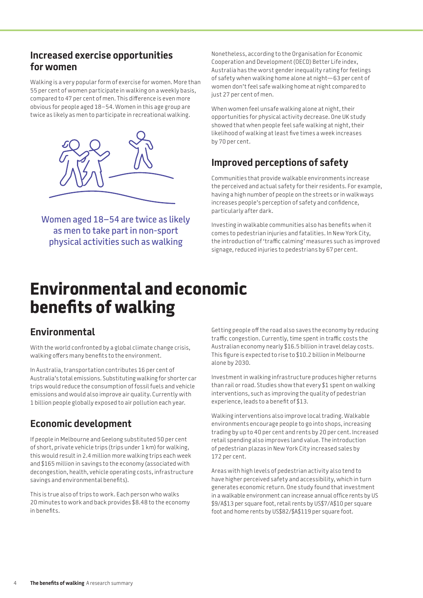#### **Increased exercise opportunities for women**

Walking is a very popular form of exercise for women. More than 55 per cent of women participate in walking on a weekly basis, compared to 47 per cent of men. This difference is even more obvious for people aged 18–54. Women in this age group are twice as likely as men to participate in recreational walking.



Women aged 18–54 are twice as likely as men to take part in non-sport physical activities such as walking

Nonetheless, according to the Organisation for Economic Cooperation and Development (OECD) Better Life index, Australia has the worst gender inequality rating for feelings of safety when walking home alone at night—63 per cent of women don't feel safe walking home at night compared to just 27 per cent of men.

When women feel unsafe walking alone at night, their opportunities for physical activity decrease. One UK study showed that when people feel safe walking at night, their likelihood of walking at least five times a week increases by 70 per cent.

### **Improved perceptions of safety**

Communities that provide walkable environments increase the perceived and actual safety for their residents. For example, having a high number of people on the streets or in walkways increases people's perception of safety and confidence, particularly after dark.

Investing in walkable communities also has benefits when it comes to pedestrian injuries and fatalities. In New York City, the introduction of 'traffic calming' measures such as improved signage, reduced injuries to pedestrians by 67 per cent.

# **Environmental and economic benefits of walking**

### **Environmental**

With the world confronted by a global climate change crisis, walking offers many benefits to the environment.

In Australia, transportation contributes 16 per cent of Australia's total emissions. Substituting walking for shorter car trips would reduce the consumption of fossil fuels and vehicle emissions and would also improve air quality. Currently with 1 billion people globally exposed to air pollution each year.

### **Economic development**

If people in Melbourne and Geelong substituted 50 per cent of short, private vehicle trips (trips under 1 km) for walking, this would result in 2.4 million more walking trips each week and \$165 million in savings to the economy (associated with decongestion, health, vehicle operating costs, infrastructure savings and environmental benefits).

This is true also of trips to work. Each person who walks 20 minutes to work and back provides \$8.48 to the economy in benefits.

Getting people off the road also saves the economy by reducing traffic congestion. Currently, time spent in traffic costs the Australian economy nearly \$16.5 billion in travel delay costs. This figure is expected to rise to \$10.2 billion in Melbourne alone by 2030.

Investment in walking infrastructure produces higher returns than rail or road. Studies show that every \$1 spent on walking interventions, such as improving the quality of pedestrian experience, leads to a benefit of \$13.

Walking interventions also improve local trading. Walkable environments encourage people to go into shops, increasing trading by up to 40 per cent and rents by 20 per cent. Increased retail spending also improves land value. The introduction of pedestrian plazas in New York City increased sales by 172 per cent.

Areas with high levels of pedestrian activity also tend to have higher perceived safety and accessibility, which in turn generates economic return. One study found that investment in a walkable environment can increase annual office rents by US \$9/A\$13 per square foot, retail rents by US\$7/A\$10 per square foot and home rents by US\$82/\$A\$119 per square foot.